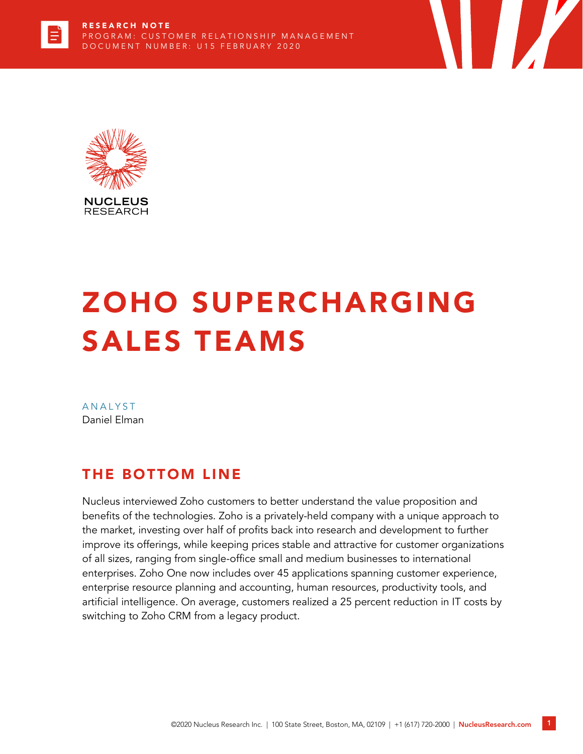



# ZOHO SUPERCHARGING SALES TEAMS

**ANALYST** Daniel Elman

# THE BOTTOM LINE

Nucleus interviewed Zoho customers to better understand the value proposition and benefits of the technologies. Zoho is a privately-held company with a unique approach to the market, investing over half of profits back into research and development to further improve its offerings, while keeping prices stable and attractive for customer organizations of all sizes, ranging from single-office small and medium businesses to international enterprises. Zoho One now includes over 45 applications spanning customer experience, enterprise resource planning and accounting, human resources, productivity tools, and artificial intelligence. On average, customers realized a 25 percent reduction in IT costs by switching to Zoho CRM from a legacy product.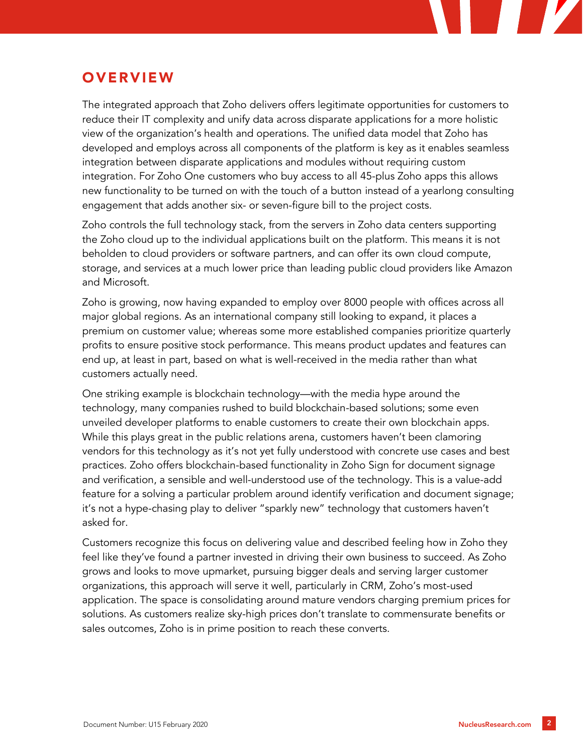# **OVERVIEW**

The integrated approach that Zoho delivers offers legitimate opportunities for customers to reduce their IT complexity and unify data across disparate applications for a more holistic view of the organization's health and operations. The unified data model that Zoho has developed and employs across all components of the platform is key as it enables seamless integration between disparate applications and modules without requiring custom integration. For Zoho One customers who buy access to all 45-plus Zoho apps this allows new functionality to be turned on with the touch of a button instead of a yearlong consulting engagement that adds another six- or seven-figure bill to the project costs.

Zoho controls the full technology stack, from the servers in Zoho data centers supporting the Zoho cloud up to the individual applications built on the platform. This means it is not beholden to cloud providers or software partners, and can offer its own cloud compute, storage, and services at a much lower price than leading public cloud providers like Amazon and Microsoft.

Zoho is growing, now having expanded to employ over 8000 people with offices across all major global regions. As an international company still looking to expand, it places a premium on customer value; whereas some more established companies prioritize quarterly profits to ensure positive stock performance. This means product updates and features can end up, at least in part, based on what is well-received in the media rather than what customers actually need.

One striking example is blockchain technology—with the media hype around the technology, many companies rushed to build blockchain-based solutions; some even unveiled developer platforms to enable customers to create their own blockchain apps. While this plays great in the public relations arena, customers haven't been clamoring vendors for this technology as it's not yet fully understood with concrete use cases and best practices. Zoho offers blockchain-based functionality in Zoho Sign for document signage and verification, a sensible and well-understood use of the technology. This is a value-add feature for a solving a particular problem around identify verification and document signage; it's not a hype-chasing play to deliver "sparkly new" technology that customers haven't asked for.

Customers recognize this focus on delivering value and described feeling how in Zoho they feel like they've found a partner invested in driving their own business to succeed. As Zoho grows and looks to move upmarket, pursuing bigger deals and serving larger customer organizations, this approach will serve it well, particularly in CRM, Zoho's most-used application. The space is consolidating around mature vendors charging premium prices for solutions. As customers realize sky-high prices don't translate to commensurate benefits or sales outcomes, Zoho is in prime position to reach these converts.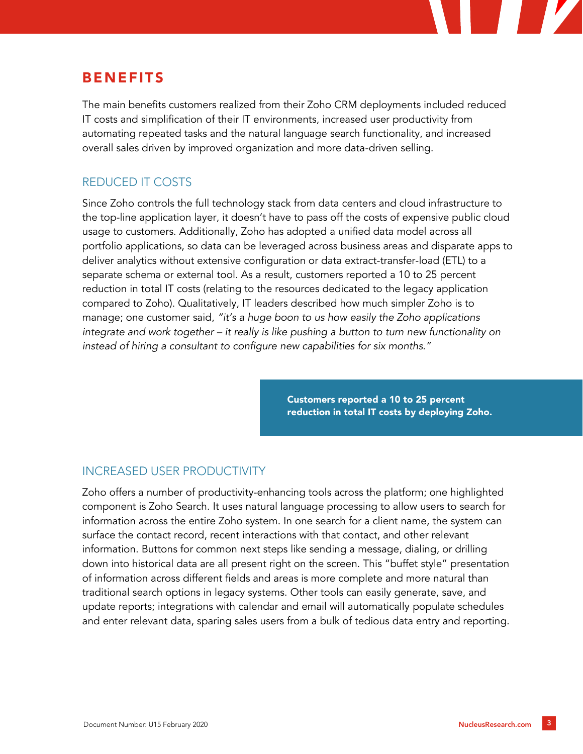# BENEFITS

The main benefits customers realized from their Zoho CRM deployments included reduced IT costs and simplification of their IT environments, increased user productivity from automating repeated tasks and the natural language search functionality, and increased overall sales driven by improved organization and more data-driven selling.

### REDUCED IT COSTS

Since Zoho controls the full technology stack from data centers and cloud infrastructure to the top-line application layer, it doesn't have to pass off the costs of expensive public cloud usage to customers. Additionally, Zoho has adopted a unified data model across all portfolio applications, so data can be leveraged across business areas and disparate apps to deliver analytics without extensive configuration or data extract-transfer-load (ETL) to a separate schema or external tool. As a result, customers reported a 10 to 25 percent reduction in total IT costs (relating to the resources dedicated to the legacy application compared to Zoho). Qualitatively, IT leaders described how much simpler Zoho is to manage; one customer said, *"it's a huge boon to us how easily the Zoho applications integrate and work together – it really is like pushing a button to turn new functionality on instead of hiring a consultant to configure new capabilities for six months."*

> Customers reported a 10 to 25 percent reduction in total IT costs by deploying Zoho.

### INCREASED USER PRODUCTIVITY

Zoho offers a number of productivity-enhancing tools across the platform; one highlighted component is Zoho Search. It uses natural language processing to allow users to search for information across the entire Zoho system. In one search for a client name, the system can surface the contact record, recent interactions with that contact, and other relevant information. Buttons for common next steps like sending a message, dialing, or drilling down into historical data are all present right on the screen. This "buffet style" presentation of information across different fields and areas is more complete and more natural than traditional search options in legacy systems. Other tools can easily generate, save, and update reports; integrations with calendar and email will automatically populate schedules and enter relevant data, sparing sales users from a bulk of tedious data entry and reporting.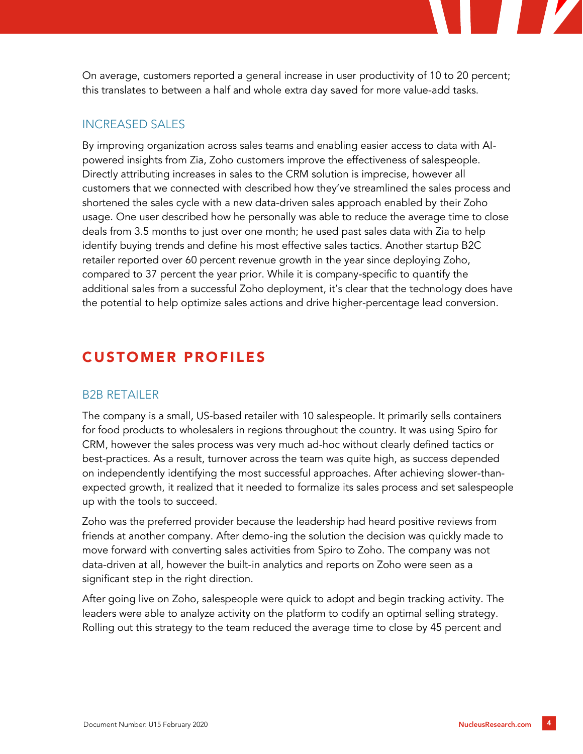On average, customers reported a general increase in user productivity of 10 to 20 percent; this translates to between a half and whole extra day saved for more value-add tasks.

#### INCREASED SALES

By improving organization across sales teams and enabling easier access to data with AIpowered insights from Zia, Zoho customers improve the effectiveness of salespeople. Directly attributing increases in sales to the CRM solution is imprecise, however all customers that we connected with described how they've streamlined the sales process and shortened the sales cycle with a new data-driven sales approach enabled by their Zoho usage. One user described how he personally was able to reduce the average time to close deals from 3.5 months to just over one month; he used past sales data with Zia to help identify buying trends and define his most effective sales tactics. Another startup B2C retailer reported over 60 percent revenue growth in the year since deploying Zoho, compared to 37 percent the year prior. While it is company-specific to quantify the additional sales from a successful Zoho deployment, it's clear that the technology does have the potential to help optimize sales actions and drive higher-percentage lead conversion.

## CUSTOMER PROFILES

#### B2B RETAILER

The company is a small, US-based retailer with 10 salespeople. It primarily sells containers for food products to wholesalers in regions throughout the country. It was using Spiro for CRM, however the sales process was very much ad-hoc without clearly defined tactics or best-practices. As a result, turnover across the team was quite high, as success depended on independently identifying the most successful approaches. After achieving slower-thanexpected growth, it realized that it needed to formalize its sales process and set salespeople up with the tools to succeed.

Zoho was the preferred provider because the leadership had heard positive reviews from friends at another company. After demo-ing the solution the decision was quickly made to move forward with converting sales activities from Spiro to Zoho. The company was not data-driven at all, however the built-in analytics and reports on Zoho were seen as a significant step in the right direction.

After going live on Zoho, salespeople were quick to adopt and begin tracking activity. The leaders were able to analyze activity on the platform to codify an optimal selling strategy. Rolling out this strategy to the team reduced the average time to close by 45 percent and